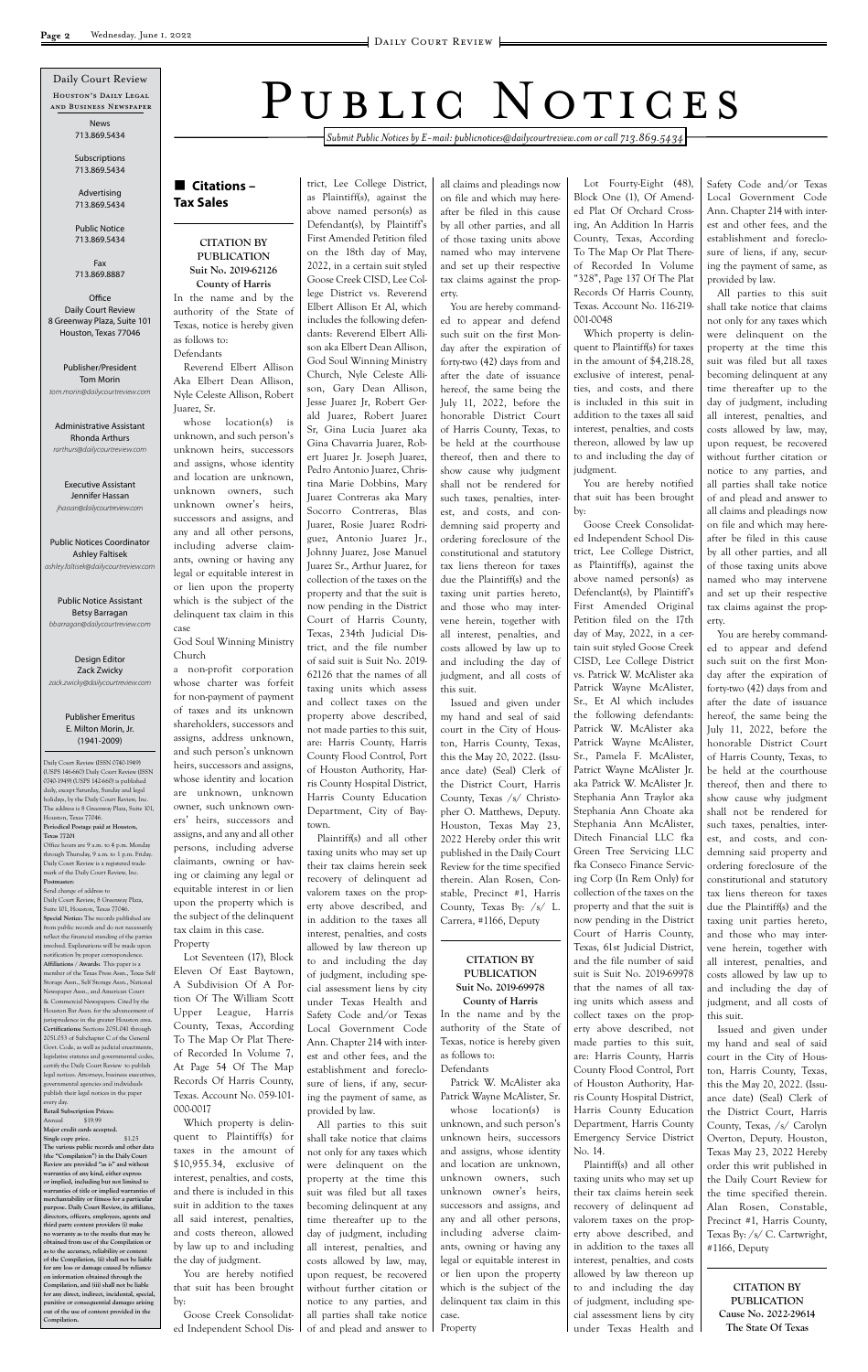*Submit Public Notices by E-mail: publicnotices@dailycourtreview.com or call 713.869.5434*

### n **Citations – Tax Sales**

#### **CITATION BY PUBLICATION Suit No. 2019-62126 County of Harris**

In the name and by the authority of the State of Texas, notice is hereby given as follows to: Defendants

Reverend Elbert Allison Aka Elbert Dean Allison, Nyle Celeste Allison, Robert Juarez, Sr.

whose location(s) is unknown, and such person's unknown heirs, successors and assigns, whose identity and location are unknown, unknown owners, such unknown owner's heirs, successors and assigns, and any and all other persons, including adverse claimants, owning or having any legal or equitable interest in or lien upon the property which is the subject of the delinquent tax claim in this case

God Soul Winning Ministry Church

a non-profit corporation whose charter was forfeit for non-payment of payment of taxes and its unknown shareholders, successors and assigns, address unknown, and such person's unknown heirs, successors and assigns, whose identity and location are unknown, unknown owner, such unknown owners' heirs, successors and assigns, and any and all other persons, including adverse claimants, owning or having or claiming any legal or equitable interest in or lien upon the property which is the subject of the delinquent tax claim in this case. Property

Lot Seventeen (17), Block Eleven Of East Baytown, A Subdivision Of A Portion Of The William Scott

Upper League, Harris County, Texas, According To The Map Or Plat Thereof Recorded In Volume 7, At Page 54 Of The Map Records Of Harris County, Texas. Account No. 059-101- 000-0017

Which property is delinquent to Plaintiff(s) for taxes in the amount of \$10,955.34, exclusive of interest, penalties, and costs, and there is included in this suit in addition to the taxes all said interest, penalties, and costs thereon, allowed by law up to and including the day of judgment.

You are hereby notified that suit has been brought by:

Goose Creek Consolidated Independent School District, Lee College District,

as Plaintiff(s), against the above named person(s) as Defendant(s), by Plaintiff's First Amended Petition filed on the 18th day of May, 2022, in a certain suit styled Goose Creek CISD, Lee College District vs. Reverend Elbert Allison Et Al, which includes the following defendants: Reverend Elbert Allison aka Elbert Dean Allison, God Soul Winning Ministry Church, Nyle Celeste Allison, Gary Dean Allison, Jesse Juarez Jr, Robert Gerald Juarez, Robert Juarez Sr, Gina Lucia Juarez aka Gina Chavarria Juarez, Robert Juarez Jr. Joseph Juarez, Pedro Antonio Juarez, Christina Marie Dobbins, Mary Juarez Contreras aka Mary Socorro Contreras, Blas Juarez, Rosie Juarez Rodriguez, Antonio Juarez Jr., Johnny Juarez, Jose Manuel Juarez Sr., Arthur Juarez, for collection of the taxes on the property and that the suit is now pending in the District Court of Harris County, Texas, 234th Judicial District, and the file number of said suit is Suit No. 2019- 62126 that the names of all taxing units which assess and collect taxes on the property above described, not made parties to this suit, are: Harris County, Harris County Flood Control, Port of Houston Authority, Harris County Hospital District, Harris County Education Department, City of Baytown. Plaintiff(s) and all other

taxing units who may set up their tax claims herein seek recovery of delinquent ad valorem taxes on the property above described, and in addition to the taxes all interest, penalties, and costs allowed by law thereon up to and including the day of judgment, including special assessment liens by city under Texas Health and

Safety Code and/or Texas Local Government Code Ann. Chapter 214 with interest and other fees, and the establishment and foreclosure of liens, if any, securing the payment of same, as provided by law.

All parties to this suit shall take notice that claims not only for any taxes which were delinquent on the property at the time this suit was filed but all taxes becoming delinquent at any time thereafter up to the day of judgment, including all interest, penalties, and costs allowed by law, may, upon request, be recovered without further citation or notice to any parties, and all parties shall take notice of and plead and answer to

all claims and pleadings now on file and which may hereafter be filed in this cause by all other parties, and all of those taxing units above named who may intervene and set up their respective tax claims against the property.

You are hereby commanded to appear and defend such suit on the first Monday after the expiration of forty-two (42) days from and after the date of issuance hereof, the same being the July 11, 2022, before the honorable District Court of Harris County, Texas, to be held at the courthouse thereof, then and there to show cause why judgment shall not be rendered for such taxes, penalties, interest, and costs, and condemning said property and ordering foreclosure of the constitutional and statutory tax liens thereon for taxes due the Plaintiff(s) and the taxing unit parties hereto, and those who may intervene herein, together with all interest, penalties, and costs allowed by law up to and including the day of judgment, and all costs of this suit.

Issued and given under my hand and seal of said court in the City of Houston, Harris County, Texas, this the May 20, 2022. (Issuance date) (Seal) Clerk of the District Court, Harris County, Texas /s/ Christopher O. Matthews, Deputy. Houston, Texas May 23, 2022 Hereby order this writ published in the Daily Court Review for the time specified therein. Alan Rosen, Constable, Precinct #1, Harris County, Texas By: /s/ L. Carrera, #1166, Deputy

> **CITATION BY PUBLICATION Suit No. 2019-69978 County of Harris**

In the name and by the authority of the State of Texas, notice is hereby given as follows to: Defendants

Patrick W. McAlister aka Patrick Wayne McAlister, Sr. whose location(s) is

Lot Fourty-Eight (48), Block One (1), Of Amended Plat Of Orchard Crossing, An Addition In Harris County, Texas, According To The Map Or Plat Thereof Recorded In Volume "328", Page 137 Of The Plat Records Of Harris County, Texas. Account No. 116-219- 001-0048

**Office** Daily Court Review 8 Greenway Plaza, Suite 101 Houston, Texas 77046

Which property is delinquent to Plaintiff(s) for taxes in the amount of \$4,218.28, exclusive of interest, penalties, and costs, and there is included in this suit in addition to the taxes all said interest, penalties, and costs thereon, allowed by law up to and including the day of judgment.

You are hereby notified that suit has been brought by:

unknown, and such person's unknown heirs, successors and assigns, whose identity and location are unknown, unknown owners, such unknown owner's heirs, successors and assigns, and any and all other persons, including adverse claimants, owning or having any legal or equitable interest in or lien upon the property which is the subject of the delinquent tax claim in this case. Property Emergency Service District No. 14. taxing units who may set up their tax claims herein seek recovery of delinquent ad valorem taxes on the property above described, and in addition to the taxes all interest, penalties, and costs allowed by law thereon up to and including the day of judgment, including special assessment liens by city under Texas Health and

Goose Creek Consolidated Independent School District, Lee College District, as Plaintiff(s), against the above named person(s) as Defenclant(s), by Plaintiff's First Amended Original Petition filed on the 17th day of May, 2022, in a certain suit styled Goose Creek CISD, Lee College District vs. Patrick W. McAlister aka Patrick Wayne McAlister, Sr., Et Al which includes the following defendants: Patrick W. McAlister aka Patrick Wayne McAlister, Sr., Pamela F. McAlister, Patrict Wayne McAlister Jr. aka Patrick W. McAlister Jr. Stephania Ann Traylor aka Stephania Ann Choate aka Stephania Ann McAlister, Ditech Financial LLC fka Green Tree Servicing LLC fka Conseco Finance Servicing Corp (In Rem Only) for collection of the taxes on the property and that the suit is now pending in the District Court of Harris County, Texas, 61st Judicial District, and the file number of said suit is Suit No. 2019-69978 that the names of all taxing units which assess and collect taxes on the property above described, not made parties to this suit, are: Harris County, Harris County Flood Control, Port of Houston Authority, Harris County Hospital District, Harris County Education Department, Harris County

Plaintiff(s) and all other

Safety Code and/or Texas Local Government Code Ann. Chapter 214 with interest and other fees, and the establishment and foreclosure of liens, if any, securing the payment of same, as provided by law.

All parties to this suit shall take notice that claims not only for any taxes which were delinquent on the property at the time this suit was filed but all taxes becoming delinquent at any time thereafter up to the day of judgment, including all interest, penalties, and costs allowed by law, may, upon request, be recovered without further citation or notice to any parties, and all parties shall take notice of and plead and answer to all claims and pleadings now on file and which may hereafter be filed in this cause by all other parties, and all of those taxing units above named who may intervene and set up their respective tax claims against the property.

You are hereby commanded to appear and defend such suit on the first Monday after the expiration of forty-two (42) days from and after the date of issuance hereof, the same being the July 11, 2022, before the honorable District Court of Harris County, Texas, to be held at the courthouse thereof, then and there to show cause why judgment shall not be rendered for such taxes, penalties, interest, and costs, and condemning said property and ordering foreclosure of the constitutional and statutory tax liens thereon for taxes due the Plaintiff(s) and the taxing unit parties hereto, and those who may intervene herein, together with all interest, penalties, and costs allowed by law up to and including the day of judgment, and all costs of

this suit.

Issued and given under my hand and seal of said court in the City of Houston, Harris County, Texas, this the May 20, 2022. (Issuance date) (Seal) Clerk of the District Court, Harris County, Texas, /s/ Carolyn Overton, Deputy. Houston, Texas May 23, 2022 Hereby order this writ published in the Daily Court Review for the time specified therein. Alan Rosen, Constable, Precinct #1, Harris County, Texas By: /s/ C. Cartwright, #1166, Deputy

**CITATION BY PUBLICATION Cause No. 2022-29614 The State Of Texas**

Daily Court Review (ISSN 0740-1949) (USPS 146-660) Daily Court Review (ISSN 0740-1949) (USPS 142-660) is published daily, except Saturday, Sunday and legal holidays, by the Daily Court Review, Inc. The address is 8 Greenway Plaza, Suite 101, Houston, Texas 77046. **Periodical Postage paid at Houston, Texas 77201** Office hours are 9 a.m. to 4 p.m. Monday

through Thursday, 9 a.m. to 1 p.m. Friday. Daily Court Review is a registered trademark of the Daily Court Review, Inc. **Postmaster:**

Send change of address to Daily Court Review, 8 Greenway Plaza, Suite 101, Houston, Texas 77046. **Special Notice:** The records published are from public records and do not necessarily reflect the financial standing of the parties involved. Explanations will be made upon notification by proper correspondence. **Affiliations / Awards:** This paper is a member of the Texas Press Assn., Texas Self Storage Assn., Self Storage Assn., National Newspaper Assn., and American Court & Commercial Newspapers. Cited by the

# PUBLIC NOTICES

Houston's Daily Legal and Business Newspaper Daily Court Review

Houston Bar Assn. for the advancement of jurisprudence in the greater Houston area. **Certifications:** Sections 2051.041 through 2051.053 of Subchapter C of the General Govt. Code, as well as judicial enactments, legislative statutes and governmental codes, certify the Daily Court Review to publish legal notices. Attorneys, business executive governmental agencies and individuals publish their legal notices in the paper every day.

#### **Retail Subscription Prices:** Annual \$19.99

**Major credit cards accepted.**

**Single copy price.** \$1.25 **The various public records and other data (the "Compilation") in the Daily Court Review are provided "as is" and without warranties of any kind, either express or implied, including but not limited to warranties of title or implied warranties of merchantability or fitness for a particular purpose. Daily Court Review, its affiliates, directors, officers, employees, agents and third party content providers (i) make no warranty as to the results that may be obtained from use of the Compilation or**  as to the accuracy, reliability or cont **of the Compilation, (ii) shall not be liable for any loss or damage caused by reliance on information obtained through the Compilation, and (iii) shall not be liable for any direct, indirect, incidental, special, punitive or consequential damages arising out of the use of content provided in the Compilation.**

News 713.869.5434

Subscriptions 713.869.5434

Advertising 713.869.5434

Public Notice 713.869.5434

Fax 713.869.8887

Publisher/President Tom Morin *tom.morin@dailycourtreview.com*

Administrative Assistant Rhonda Arthurs

*rarthurs@dailycourtreview.com*

Executive Assistant Jennifer Hassan *jhassan@dailycourtreview.com*

Public Notices Coordinator Ashley Faltisek *ashley.faltisek@dailycourtreview.com*

Public Notice Assistant Betsy Barragan *bbarragan@dailycourtreview.com*

Design Editor Zack Zwicky *zack.zwicky@dailycourtreview.com*

#### Publisher Emeritus E. Milton Morin, Jr. (1941-2009)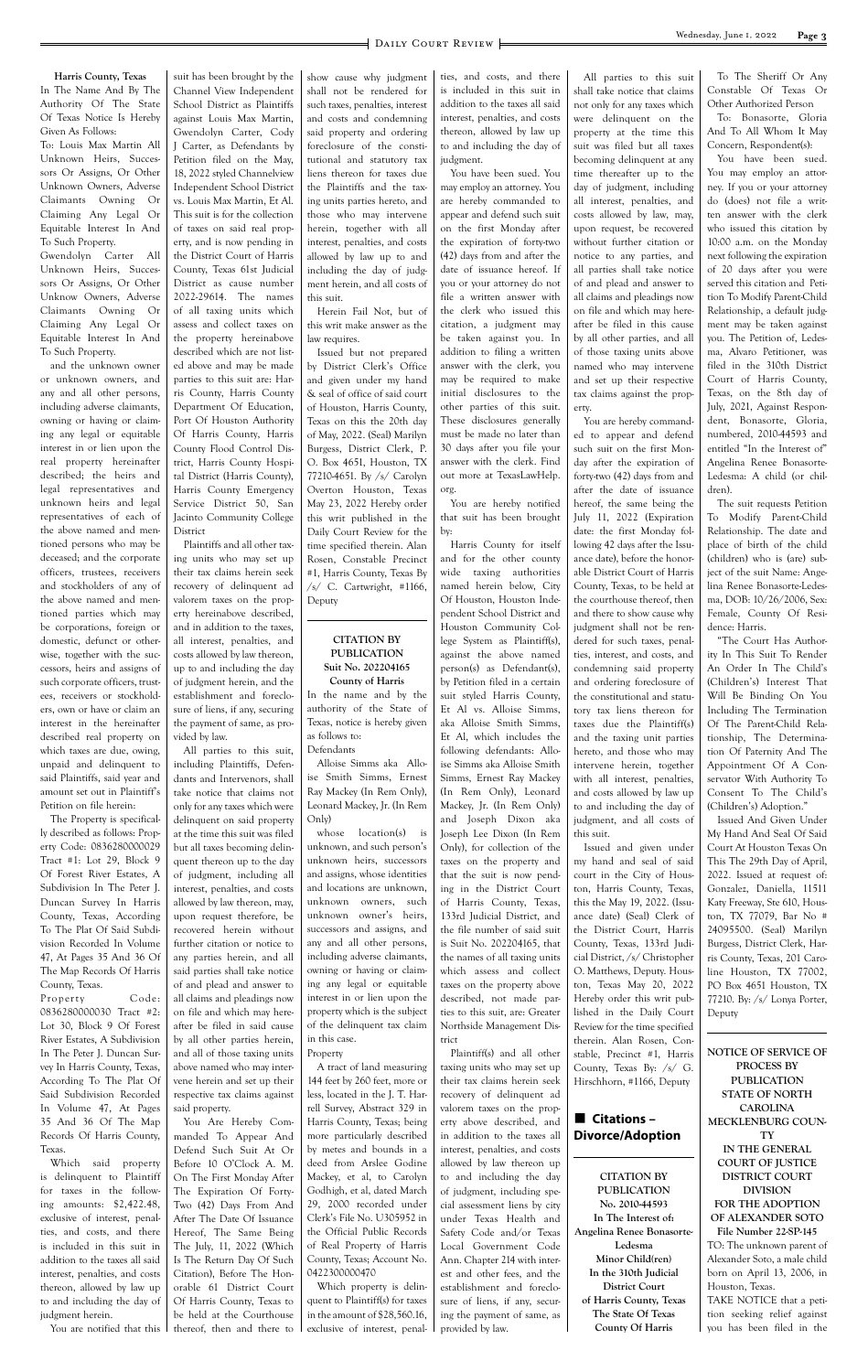**Harris County, Texas** In The Name And By The Authority Of The State Of Texas Notice Is Hereby Given As Follows:

To: Louis Max Martin All Unknown Heirs, Successors Or Assigns, Or Other Unknown Owners, Adverse Claimants Owning Or Claiming Any Legal Or Equitable Interest In And To Such Property.

Gwendolyn Carter All Unknown Heirs, Successors Or Assigns, Or Other Unknow Owners, Adverse Claimants Owning Or Claiming Any Legal Or Equitable Interest In And To Such Property.

and the unknown owner or unknown owners, and any and all other persons, including adverse claimants, owning or having or claiming any legal or equitable interest in or lien upon the real property hereinafter described; the heirs and legal representatives and unknown heirs and legal representatives of each of the above named and mentioned persons who may be deceased; and the corporate officers, trustees, receivers and stockholders of any of the above named and mentioned parties which may be corporations, foreign or domestic, defunct or otherwise, together with the successors, heirs and assigns of such corporate officers, trustees, receivers or stockholders, own or have or claim an interest in the hereinafter described real property on which taxes are due, owing, unpaid and delinquent to said Plaintiffs, said year and amount set out in Plaintiff's Petition on file herein:

Property Code: 0836280000030 Tract #2: Lot 30, Block 9 Of Forest River Estates, A Subdivision In The Peter J. Duncan Survey In Harris County, Texas, According To The Plat Of Said Subdivision Recorded In Volume 47, At Pages 35 And 36 Of The Map Records Of Harris County, Texas. Which said property is delinquent to Plaintiff for taxes in the following amounts: \$2,422.48, exclusive of interest, penalties, and costs, and there is included in this suit in addition to the taxes all said interest, penalties, and costs thereon, allowed by law up to and including the day of judgment herein.

The Property is specifically described as follows: Property Code: 0836280000029 Tract #1: Lot 29, Block 9 Of Forest River Estates, A Subdivision In The Peter J. Duncan Survey In Harris County, Texas, According To The Plat Of Said Subdivision Recorded In Volume 47, At Pages 35 And 36 Of The Map Records Of Harris County, Texas.

suit has been brought by the Channel View Independent School District as Plaintiffs against Louis Max Martin, Gwendolyn Carter, Cody J Carter, as Defendants by Petition filed on the May, 18, 2022 styled Channelview Independent School District vs. Louis Max Martin, Et Al. This suit is for the collection of taxes on said real property, and is now pending in the District Court of Harris County, Texas 61st Judicial District as cause number 2022-29614. The names of all taxing units which assess and collect taxes on the property hereinabove described which are not listed above and may be made parties to this suit are: Harris County, Harris County Department Of Education, Port Of Houston Authority Of Harris County, Harris County Flood Control District, Harris County Hospital District (Harris County),

Harris County Emergency Service District 50, San Jacinto Community College District

Plaintiffs and all other taxing units who may set up their tax claims herein seek recovery of delinquent ad valorem taxes on the property hereinabove described, and in addition to the taxes, all interest, penalties, and costs allowed by law thereon, up to and including the day of judgment herein, and the establishment and foreclosure of liens, if any, securing the payment of same, as provided by law.

show cause why judgment shall not be rendered for such taxes, penalties, interest and costs and condemning said property and ordering foreclosure of the constitutional and statutory tax liens thereon for taxes due the Plaintiffs and the taxing units parties hereto, and those who may intervene herein, together with all interest, penalties, and costs allowed by law up to and including the day of judgment herein, and all costs of this suit.

Herein Fail Not, but of this writ make answer as the law requires.

All parties to this suit, including Plaintiffs, Defendants and Intervenors, shall take notice that claims not only for any taxes which were delinquent on said property at the time this suit was filed but all taxes becoming delinquent thereon up to the day of judgment, including all interest, penalties, and costs allowed by law thereon, may, upon request therefore, be recovered herein without further citation or notice to any parties herein, and all said parties shall take notice of and plead and answer to all claims and pleadings now on file and which may hereafter be filed in said cause by all other parties herein, and all of those taxing units above named who may intervene herein and set up their respective tax claims against said property. You Are Hereby Commanded To Appear And Defend Such Suit At Or Before 10 O'Clock A. M. On The First Monday After The Expiration Of Forty-Two (42) Days From And After The Date Of Issuance Hereof, The Same Being The July, 11, 2022 (Which Is The Return Day Of Such Citation), Before The Honorable 61 District Court Of Harris County, Texas to be held at the Courthouse thereof, then and there to in the amount of \$28,560.16, exclusive of interest, penal-

Issued but not prepared by District Clerk's Office and given under my hand & seal of office of said court of Houston, Harris County, Texas on this the 20th day of May, 2022. (Seal) Marilyn Burgess, District Clerk, P. O. Box 4651, Houston, TX 77210-4651. By /s/ Carolyn Overton Houston, Texas May 23, 2022 Hereby order this writ published in the Daily Court Review for the time specified therein. Alan Rosen, Constable Precinct #1, Harris County, Texas By /s/ C. Cartwright, #1166, Deputy

#### **CITATION BY PUBLICATION Suit No. 202204165 County of Harris**

In the name and by the authority of the State of Texas, notice is hereby given as follows to: Defendants

Alloise Simms aka Alloise Smith Simms, Ernest Ray Mackey (In Rem Only), Leonard Mackey, Jr. (In Rem Only)

whose location(s) is unknown, and such person's unknown heirs, successors and assigns, whose identities and locations are unknown, unknown owners, such unknown owner's heirs, successors and assigns, and any and all other persons, including adverse claimants, owning or having or claiming any legal or equitable interest in or lien upon the property which is the subject of the delinquent tax claim in this case.

Property

A tract of land measuring 144 feet by 260 feet, more or less, located in the J. T. Harrell Survey, Abstract 329 in Harris County, Texas; being more particularly described by metes and bounds in a deed from Arslee Godine Mackey, et al, to Carolyn Godhigh, et al, dated March 29, 2000 recorded under Clerk's File No. U305952 in the Official Public Records of Real Property of Harris County, Texas; Account No. 0422300000470 Which property is delinquent to Plaintiff(s) for taxes ties, and costs, and there is included in this suit in addition to the taxes all said interest, penalties, and costs thereon, allowed by law up to and including the day of judgment.

You have been sued. You may employ an attorney. You are hereby commanded to appear and defend such suit on the first Monday after the expiration of forty-two (42) days from and after the date of issuance hereof. If you or your attorney do not file a written answer with the clerk who issued this citation, a judgment may be taken against you. In addition to filing a written answer with the clerk, you may be required to make initial disclosures to the other parties of this suit. These disclosures generally must be made no later than 30 days after you file your answer with the clerk. Find out more at TexasLawHelp. org.

You are hereby notified that suit has been brought by:

Harris County for itself and for the other county wide taxing authorities named herein below, City Of Houston, Houston Independent School District and Houston Community College System as Plaintiff(s), against the above named person(s) as Defendant(s), by Petition filed in a certain suit styled Harris County, Et Al vs. Alloise Simms, aka Alloise Smith Simms, Et Al, which includes the following defendants: Alloise Simms aka Alloise Smith Simms, Ernest Ray Mackey (In Rem Only), Leonard Mackey, Jr. (In Rem Only) and Joseph Dixon aka Joseph Lee Dixon (In Rem Only), for collection of the taxes on the property and that the suit is now pending in the District Court of Harris County, Texas, 133rd Judicial District, and the file number of said suit is Suit No. 202204165, that the names of all taxing units which assess and collect taxes on the property above described, not made parties to this suit, are: Greater Northside Management District Plaintiff(s) and all other taxing units who may set up their tax claims herein seek recovery of delinquent ad valorem taxes on the property above described, and in addition to the taxes all interest, penalties, and costs allowed by law thereon up to and including the day of judgment, including special assessment liens by city under Texas Health and Safety Code and/or Texas Local Government Code Ann. Chapter 214 with interest and other fees, and the establishment and foreclosure of liens, if any, securing the payment of same, as provided by law.

All parties to this suit shall take notice that claims not only for any taxes which were delinquent on the property at the time this suit was filed but all taxes becoming delinquent at any time thereafter up to the day of judgment, including all interest, penalties, and costs allowed by law, may, upon request, be recovered without further citation or notice to any parties, and all parties shall take notice of and plead and answer to all claims and pleadings now on file and which may hereafter be filed in this cause by all other parties, and all of those taxing units above named who may intervene and set up their respective tax claims against the property.

You are hereby commanded to appear and defend such suit on the first Monday after the expiration of forty-two (42) days from and after the date of issuance hereof, the same being the July 11, 2022 (Expiration date: the first Monday following 42 days after the Issuance date), before the honorable District Court of Harris County, Texas, to be held at the courthouse thereof, then and there to show cause why judgment shall not be rendered for such taxes, penalties, interest, and costs, and condemning said property and ordering foreclosure of the constitutional and statutory tax liens thereon for taxes due the Plaintiff(s) and the taxing unit parties hereto, and those who may intervene herein, together with all interest, penalties, and costs allowed by law up to and including the day of judgment, and all costs of this suit.

Issued and given under my hand and seal of said court in the City of Houston, Harris County, Texas, this the May 19, 2022. (Issuance date) (Seal) Clerk of the District Court, Harris County, Texas, 133rd Judicial District, /s/ Christopher O. Matthews, Deputy. Houston, Texas May 20, 2022 Hereby order this writ published in the Daily Court Review for the time specified therein. Alan Rosen, Constable, Precinct #1, Harris County, Texas By: /s/ G. Hirschhorn, #1166, Deputy

n **Citations – Divorce/Adoption**

**CITATION BY PUBLICATION No. 2010-44593 In The Interest of: Angelina Renee Bonasorte-Ledesma Minor Child(ren) In the 310th Judicial District Court of Harris County, Texas The State Of Texas County Of Harris**

To The Sheriff Or Any Constable Of Texas Or Other Authorized Person

To: Bonasorte, Gloria And To All Whom It May Concern, Respondent(s):

You have been sued. You may employ an attorney. If you or your attorney do (does) not file a written answer with the clerk who issued this citation by 10:00 a.m. on the Monday next following the expiration of 20 days after you were served this citation and Petition To Modify Parent-Child Relationship, a default judgment may be taken against you. The Petition of, Ledesma, Alvaro Petitioner, was filed in the 310th District Court of Harris County, Texas, on the 8th day of July, 2021, Against Respondent, Bonasorte, Gloria, numbered, 2010-44593 and entitled "In the Interest of" Angelina Renee Bonasorte-Ledesma: A child (or children).

The suit requests Petition To Modify Parent-Child Relationship. The date and place of birth of the child (children) who is (are) subject of the suit Name: Angelina Renee Bonasorte-Ledesma, DOB: 10/26/2006, Sex: Female, County Of Residence: Harris.

"The Court Has Authority In This Suit To Render An Order In The Child's (Children's) Interest That Will Be Binding On You Including The Termination Of The Parent-Child Relationship, The Determination Of Paternity And The Appointment Of A Conservator With Authority To Consent To The Child's (Children's) Adoption."

Issued And Given Under My Hand And Seal Of Said Court At Houston Texas On This The 29th Day of April, 2022. Issued at request of: Gonzalez, Daniella, 11511 Katy Freeway, Ste 610, Houston, TX 77079, Bar No # 24095500. (Seal) Marilyn Burgess, District Clerk, Harris County, Texas, 201 Caroline Houston, TX 77002, PO Box 4651 Houston, TX 77210. By: /s/ Lonya Porter,

Deputy

You are notified that this

**NOTICE OF SERVICE OF PROCESS BY PUBLICATION STATE OF NORTH CAROLINA MECKLENBURG COUN-TY IN THE GENERAL COURT OF JUSTICE DISTRICT COURT DIVISION FOR THE ADOPTION OF ALEXANDER SOTO File Number 22-SP-145** TO: The unknown parent of Alexander Soto, a male child born on April 13, 2006, in Houston, Texas. TAKE NOTICE that a petition seeking relief against you has been filed in the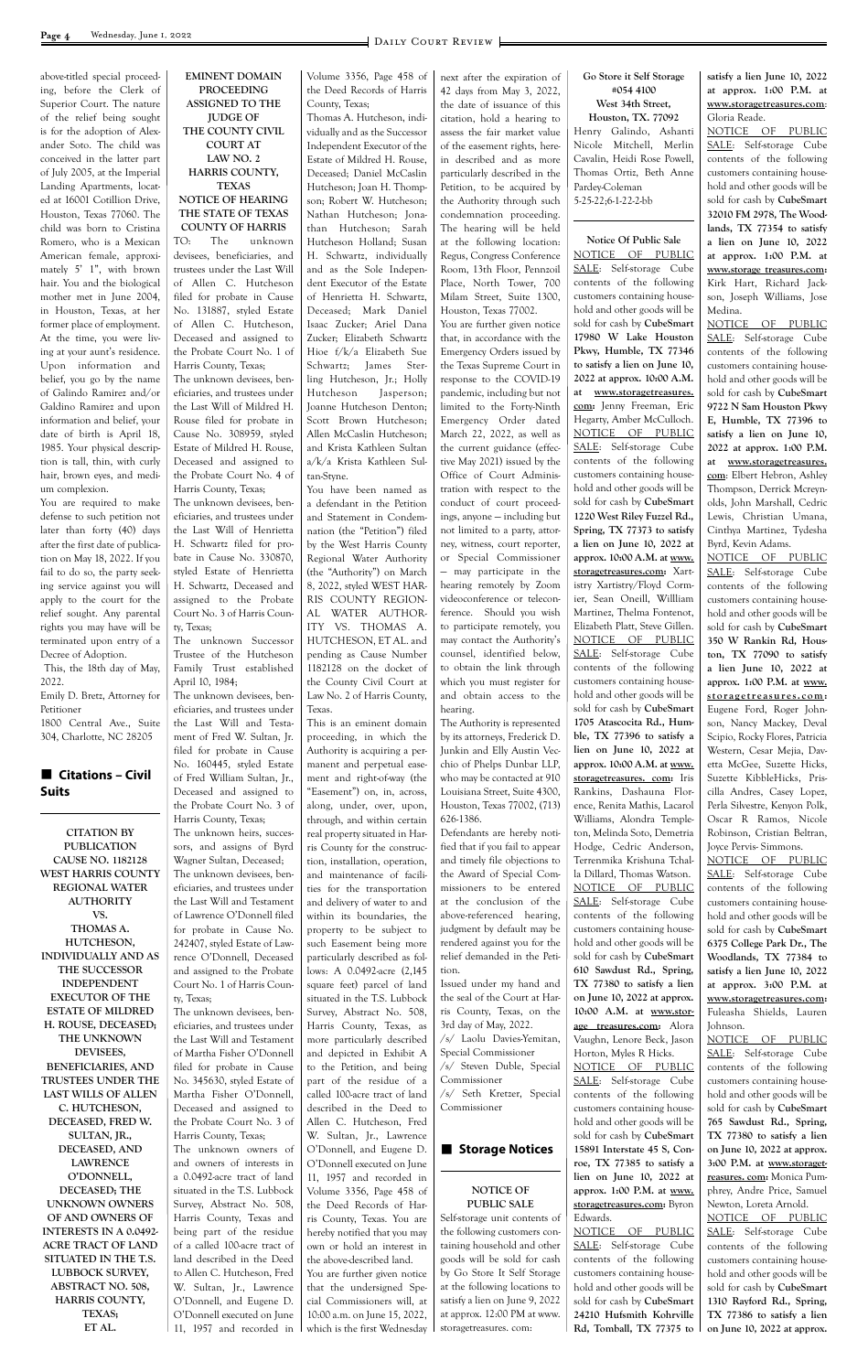above-titled special proceeding, before the Clerk of Superior Court. The nature of the relief being sought is for the adoption of Alexander Soto. The child was conceived in the latter part of July 2005, at the Imperial Landing Apartments, located at 16001 Cotillion Drive, Houston, Texas 77060. The child was born to Cristina Romero, who is a Mexican American female, approximately 5' 1", with brown hair. You and the biological mother met in June 2004, in Houston, Texas, at her former place of employment. At the time, you were living at your aunt's residence. Upon information and belief, you go by the name of Galindo Ramirez and/or Galdino Ramirez and upon information and belief, your date of birth is April 18, 1985. Your physical description is tall, thin, with curly hair, brown eyes, and medium complexion.

#### **■ Citations – Civil Suits**

You are required to make defense to such petition not later than forty (40) days after the first date of publication on May 18, 2022. If you fail to do so, the party seeking service against you will apply to the court for the relief sought. Any parental rights you may have will be terminated upon entry of a Decree of Adoption.

 This, the 18th day of May, 2022.

Emily D. Bretz, Attorney for Petitioner

1800 Central Ave., Suite 304, Charlotte, NC 28205

**CITATION BY PUBLICATION CAUSE NO. 1182128 WEST HARRIS COUNTY REGIONAL WATER AUTHORITY VS. THOMAS A. HUTCHESON, INDIVIDUALLY AND AS THE SUCCESSOR INDEPENDENT EXECUTOR OF THE ESTATE OF MILDRED H. ROUSE, DECEASED; THE UNKNOWN DEVISEES, BENEFICIARIES, AND TRUSTEES UNDER THE LAST WILLS OF ALLEN C. HUTCHESON, DECEASED, FRED W. SULTAN, JR., DECEASED, AND LAWRENCE O'DONNELL, DECEASED; THE UNKNOWN OWNERS OF AND OWNERS OF INTERESTS IN A 0.0492- ACRE TRACT OF LAND SITUATED IN THE T.S. LUBBOCK SURVEY, ABSTRACT NO. 508, HARRIS COUNTY, TEXAS; ET AL.**

#### **EMINENT DOMAIN PROCEEDING ASSIGNED TO THE JUDGE OF THE COUNTY CIVIL COURT AT LAW NO. 2 HARRIS COUNTY, TEXAS**

#### **NOTICE OF HEARING THE STATE OF TEXAS COUNTY OF HARRIS**

TO: The unknown devisees, beneficiaries, and trustees under the Last Will of Allen C. Hutcheson filed for probate in Cause No. 131887, styled Estate of Allen C. Hutcheson, Deceased and assigned to the Probate Court No. 1 of Harris County, Texas; The unknown devisees, beneficiaries, and trustees under

the Last Will of Mildred H. Rouse filed for probate in Cause No. 308959, styled Estate of Mildred H. Rouse, Deceased and assigned to the Probate Court No. 4 of Harris County, Texas;

The unknown devisees, beneficiaries, and trustees under the Last Will of Henrietta H. Schwartz filed for probate in Cause No. 330870, styled Estate of Henrietta H. Schwartz, Deceased and assigned to the Probate Court No. 3 of Harris County, Texas;

The unknown Successor Trustee of the Hutcheson Family Trust established April 10, 1984;

The unknown devisees, beneficiaries, and trustees under the Last Will and Testament of Fred W. Sultan, Jr. filed for probate in Cause No. 160445, styled Estate of Fred William Sultan, Jr., Deceased and assigned to the Probate Court No. 3 of Harris County, Texas;

The unknown heirs, successors, and assigns of Byrd Wagner Sultan, Deceased; The unknown devisees, beneficiaries, and trustees under the Last Will and Testament of Lawrence O'Donnell filed for probate in Cause No. 242407, styled Estate of Lawrence O'Donnell, Deceased and assigned to the Probate Court No. 1 of Harris County, Texas; The unknown devisees, beneficiaries, and trustees under the Last Will and Testament of Martha Fisher O'Donnell filed for probate in Cause No. 345630, styled Estate of Martha Fisher O'Donnell, Deceased and assigned to the Probate Court No. 3 of Harris County, Texas; The unknown owners of and owners of interests in a 0.0492-acre tract of land situated in the T.S. Lubbock Survey, Abstract No. 508, Harris County, Texas and being part of the residue of a called 100-acre tract of land described in the Deed to Allen C. Hutcheson, Fred W. Sultan, Jr., Lawrence O'Donnell, and Eugene D. O'Donnell executed on June 11, 1957 and recorded in

Volume 3356, Page 458 of the Deed Records of Harris County, Texas;

Thomas A. Hutcheson, individually and as the Successor Independent Executor of the Estate of Mildred H. Rouse, Deceased; Daniel McCaslin Hutcheson; Joan H. Thompson; Robert W. Hutcheson; Nathan Hutcheson; Jonathan Hutcheson; Sarah Hutcheson Holland; Susan H. Schwartz, individually and as the Sole Independent Executor of the Estate of Henrietta H. Schwartz, Deceased; Mark Daniel Isaac Zucker; Ariel Dana Zucker; Elizabeth Schwartz Hioe f/k/a Elizabeth Sue Schwartz; James Sterling Hutcheson, Jr.; Holly Hutcheson Jasperson; Joanne Hutcheson Denton; Scott Brown Hutcheson; Allen McCaslin Hutcheson; and Krista Kathleen Sultan a/k/a Krista Kathleen Sultan-Styne.

You have been named as a defendant in the Petition and Statement in Condemnation (the "Petition") filed by the West Harris County Regional Water Authority (the "Authority") on March 8, 2022, styled WEST HAR-RIS COUNTY REGION-AL WATER AUTHOR-ITY VS. THOMAS A. HUTCHESON, ET AL. and pending as Cause Number 1182128 on the docket of the County Civil Court at Law No. 2 of Harris County, Texas.

This is an eminent domain proceeding, in which the Authority is acquiring a permanent and perpetual easement and right-of-way (the "Easement") on, in, across, along, under, over, upon, through, and within certain real property situated in Harris County for the construction, installation, operation, and maintenance of facilities for the transportation and delivery of water to and within its boundaries, the property to be subject to such Easement being more particularly described as follows: A 0.0492-acre (2,145 square feet) parcel of land situated in the T.S. Lubbock Survey, Abstract No. 508, Harris County, Texas, as more particularly described and depicted in Exhibit A to the Petition, and being part of the residue of a called 100-acre tract of land described in the Deed to Allen C. Hutcheson, Fred W. Sultan, Jr., Lawrence O'Donnell, and Eugene D. O'Donnell executed on June 11, 1957 and recorded in Volume 3356, Page 458 of the Deed Records of Harris County, Texas. You are hereby notified that you may own or hold an interest in the above-described land. You are further given notice that the undersigned Special Commissioners will, at 10:00 a.m. on June 15, 2022, which is the first Wednesday

next after the expiration of 42 days from May 3, 2022, the date of issuance of this citation, hold a hearing to assess the fair market value of the easement rights, herein described and as more particularly described in the Petition, to be acquired by the Authority through such condemnation proceeding. The hearing will be held at the following location: Regus, Congress Conference Room, 13th Floor, Pennzoil Place, North Tower, 700 Milam Street, Suite 1300, Houston, Texas 77002.

You are further given notice that, in accordance with the Emergency Orders issued by the Texas Supreme Court in response to the COVID-19 pandemic, including but not limited to the Forty-Ninth Emergency Order dated March 22, 2022, as well as the current guidance (effective May 2021) issued by the Office of Court Administration with respect to the conduct of court proceedings, anyone — including but not limited to a party, attorney, witness, court reporter, or Special Commissioner — may participate in the hearing remotely by Zoom videoconference or teleconference. Should you wish to participate remotely, you may contact the Authority's counsel, identified below, to obtain the link through which you must register for and obtain access to the hearing.

The Authority is represented by its attorneys, Frederick D. Junkin and Elly Austin Vecchio of Phelps Dunbar LLP, who may be contacted at 910 Louisiana Street, Suite 4300, Houston, Texas 77002, (713) 626-1386.

Defendants are hereby notified that if you fail to appear and timely file objections to the Award of Special Commissioners to be entered at the conclusion of the above-referenced hearing, judgment by default may be rendered against you for the relief demanded in the Petition.

Issued under my hand and the seal of the Court at Harris County, Texas, on the 3rd day of May, 2022. /s/ Laolu Davies-Yemitan, Special Commissioner /s/ Steven Duble, Special Commissioner /s/ Seth Kretzer, Special Commissioner

#### **NOTICE OF PUBLIC SALE**

Self-storage unit contents of the following customers containing household and other goods will be sold for cash by Go Store It Self Storage at the following locations to satisfy a lien on June 9, 2022 at approx. 12:00 PM at www. storagetreasures. com:

### **Go Store it Self Storage #054 4100**

#### **West 34th Street, Houston, TX. 77092** Henry Galindo, Ashanti

Nicole Mitchell, Merlin Cavalin, Heidi Rose Powell, Thomas Ortiz, Beth Anne Pardey-Coleman 5-25-22;6-1-22-2-bb

**Notice Of Public Sale**

NOTICE OF PUBLIC SALE: Self-storage Cube contents of the following customers containing household and other goods will be sold for cash by **CubeSmart 17980 W Lake Houston Pkwy, Humble, TX 77346 to satisfy a lien on June 10, 2022 at approx. 10:00 A.M. at www.storagetreasures. com:** Jenny Freeman, Eric Hegarty, Amber McCulloch. NOTICE OF PUBLIC SALE: Self-storage Cube contents of the following customers containing household and other goods will be sold for cash by **CubeSmart 1220 West Riley Fuzzel Rd., Spring, TX 77373 to satisfy a lien on June 10, 2022 at approx. 10:00 A.M. at www. storagetreasures.com:** Xartistry Xartistry/Floyd Cormier, Sean Oneill, Willliam Martinez, Thelma Fontenot, Elizabeth Platt, Steve Gillen. NOTICE OF PUBLIC SALE: Self-storage Cube contents of the following customers containing household and other goods will be sold for cash by **CubeSmart 1705 Atascocita Rd., Humble, TX 77396 to satisfy a lien on June 10, 2022 at approx. 10:00 A.M. at www. storagetreasures. com:** Iris Rankins, Dashauna Florence, Renita Mathis, Lacarol Williams, Alondra Templeton, Melinda Soto, Demetria Hodge, Cedric Anderson, Terrenmika Krishuna Tchalla Dillard, Thomas Watson. NOTICE OF PUBLIC SALE: Self-storage Cube contents of the following customers containing household and other goods will be sold for cash by **CubeSmart 610 Sawdust Rd., Spring, TX 77380 to satisfy a lien on June 10, 2022 at approx. 10:00 A.M. at www.storage treasures.com:** Alora Vaughn, Lenore Beck, Jason Horton, Myles R Hicks. NOTICE OF PUBLIC SALE: Self-storage Cube contents of the following customers containing household and other goods will be sold for cash by **CubeSmart 15891 Interstate 45 S, Conroe, TX 77385 to satisfy a lien on June 10, 2022 at approx. 1:00 P.M. at www. storagetreasures.com:** Byron Edwards. NOTICE OF PUBLIC SALE: Self-storage Cube contents of the following customers containing household and other goods will be sold for cash by **CubeSmart 24210 Hufsmith Kohrville Rd, Tomball, TX 77375 to** 

**satisfy a lien June 10, 2022 at approx. 1:00 P.M. at www.storagetreasures.com**: Gloria Reade.

NOTICE OF PUBLIC SALE: Self-storage Cube contents of the following customers containing household and other goods will be sold for cash by **CubeSmart 32010 FM 2978, The Woodlands, TX 77354 to satisfy a lien on June 10, 2022 at approx. 1:00 P.M. at www.storage treasures.com:** Kirk Hart, Richard Jackson, Joseph Williams, Jose Medina.

NOTICE OF PUBLIC SALE: Self-storage Cube contents of the following customers containing household and other goods will be sold for cash by **CubeSmart 9722 N Sam Houston Pkwy E, Humble, TX 77396 to satisfy a lien on June 10, 2022 at approx. 1:00 P.M. at www.storagetreasures. com**: Elbert Hebron, Ashley Thompson, Derrick Mcreynolds, John Marshall, Cedric Lewis, Christian Umana, Cinthya Martinez, Tydesha Byrd, Kevin Adams.

NOTICE OF PUBLIC SALE: Self-storage Cube contents of the following customers containing household and other goods will be sold for cash by **CubeSmart 350 W Rankin Rd, Houston, TX 77090 to satisfy a lien June 10, 2022 at approx. 1:00 P.M. at www. storagetreasures.com:** Eugene Ford, Roger Johnson, Nancy Mackey, Deval Scipio, Rocky Flores, Patricia Western, Cesar Mejia, Davetta McGee, Suzette Hicks, Suzette KibbleHicks, Priscilla Andres, Casey Lopez, Perla Silvestre, Kenyon Polk, Oscar R Ramos, Nicole Robinson, Cristian Beltran, Joyce Pervis- Simmons.

NOTICE OF PUBLIC SALE: Self-storage Cube contents of the following customers containing household and other goods will be sold for cash by **CubeSmart 6375 College Park Dr., The Woodlands, TX 77384 to satisfy a lien June 10, 2022 at approx. 3:00 P.M. at www.storagetreasures.com:** Fuleasha Shields, Lauren Johnson. NOTICE OF PUBLIC

#### **n** Storage Notices

SALE: Self-storage Cube contents of the following customers containing household and other goods will be sold for cash by **CubeSmart 765 Sawdust Rd., Spring, TX 77380 to satisfy a lien on June 10, 2022 at approx. 3:00 P.M. at www.storagetreasures. com:** Monica Pumphrey, Andre Price, Samuel Newton, Loreta Arnold. NOTICE OF PUBLIC SALE: Self-storage Cube contents of the following customers containing household and other goods will be sold for cash by **CubeSmart 1310 Rayford Rd., Spring, TX 77386 to satisfy a lien on June 10, 2022 at approx.**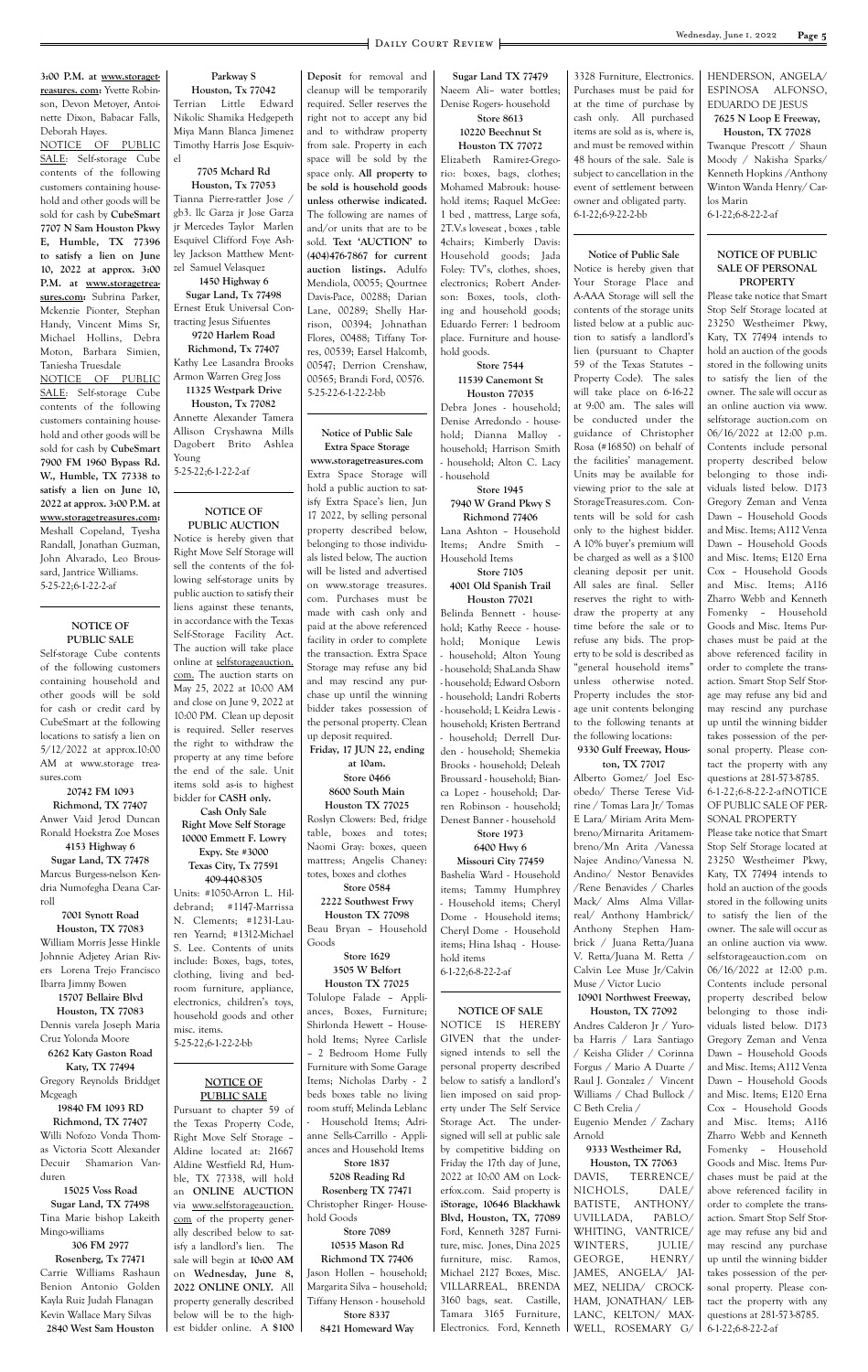**3:00 P.M. at www.storagetreasures. com:** Yvette Robinson, Devon Metoyer, Antoinette Dixon, Babacar Falls, Deborah Hayes.

NOTICE OF PUBLIC SALE: Self-storage Cube contents of the following customers containing household and other goods will be sold for cash by **CubeSmart 7707 N Sam Houston Pkwy E, Humble, TX 77396 to satisfy a lien on June 10, 2022 at approx. 3:00 P.M. at www.storagetreasures.com:** Subrina Parker, Mckenzie Pionter, Stephan Handy, Vincent Mims Sr, Michael Hollins, Debra Moton, Barbara Simien, Taniesha Truesdale

NOTICE OF PUBLIC SALE: Self-storage Cube contents of the following customers containing household and other goods will be sold for cash by **CubeSmart 7900 FM 1960 Bypass Rd. W., Humble, TX 77338 to satisfy a lien on June 10, 2022 at approx. 3:00 P.M. at www.storagetreasures.com:** Meshall Copeland, Tyesha Randall, Jonathan Guzman, John Alvarado, Leo Broussard, Jantrice Williams. 5-25-22;6-1-22-2-af

#### **NOTICE OF PUBLIC SALE**

Self-storage Cube contents of the following customers containing household and other goods will be sold for cash or credit card by CubeSmart at the following locations to satisfy a lien on 5/12/2022 at approx.10:00 AM at www.storage treasures.com

**20742 FM 1093 Richmond, TX 77407** Anwer Vaid Jerod Duncan Ronald Hoekstra Zoe Moses **4153 Highway 6 Sugar Land, TX 77478** Marcus Burgess-nelson Ken-

dria Numofegha Deana Carroll **7001 Synott Road**

**Houston, TX 77083** William Morris Jesse Hinkle Johnnie Adjetey Arian Rivers Lorena Trejo Francisco Ibarra Jimmy Bowen **15707 Bellaire Blvd**

**Parkway S Houston, Tx 77042** Terrian Little Edward Nikolic Shamika Hedgepeth Miya Mann Blanca Jimenez Timothy Harris Jose Esquivel

### **7705 Mchard Rd**

**Houston, Tx 77053** Tianna Pierre-rattler Jose / gb3. llc Garza jr Jose Garza jr Mercedes Taylor Marlen Esquivel Clifford Foye Ashley Jackson Matthew Mentzel Samuel Velasquez

**1450 Highway 6 Sugar Land, Tx 77498** Ernest Etuk Universal Contracting Jesus Sifuentes

**9720 Harlem Road Richmond, Tx 77407** Kathy Lee Lasandra Brooks

Armon Warren Greg Joss **11325 Westpark Drive** 

**Houston, Tx 77082** Annette Alexander Tamera Allison Cryshawna Mills Dagobert Brito Ashlea Young 5-25-22;6-1-22-2-af

#### **NOTICE OF PUBLIC AUCTION**

Notice is hereby given that Right Move Self Storage will sell the contents of the following self-storage units by public auction to satisfy their liens against these tenants, in accordance with the Texas Self-Storage Facility Act. The auction will take place online at selfstorageauction. com. The auction starts on May 25, 2022 at 10:00 AM and close on June 9, 2022 at 10:00 PM. Clean up deposit is required. Seller reserves the right to withdraw the property at any time before the end of the sale. Unit items sold as-is to highest bidder for **CASH only.**

**Cash Only Sale Right Move Self Storage 10000 Emmett F. Lowry Expy. Ste #3000**

#### **Texas City, Tx 77591 409-440-8305**

Units: #1050-Arron L. Hildebrand; #1147-Marrissa N. Clements; #1231-Lauren Yearnd; #1312-Michael S. Lee. Contents of units include: Boxes, bags, totes, clothing, living and bedroom furniture, appliance, electronics, children's toys, **Deposit** for removal and cleanup will be temporarily required. Seller reserves the right not to accept any bid and to withdraw property from sale. Property in each space will be sold by the space only. **All property to be sold is household goods unless otherwise indicated.** The following are names of and/or units that are to be sold. **Text 'AUCTION' to (404)476-7867 for current auction listings.** Adulfo Mendiola, 00055; Qourtnee Davis-Pace, 00288; Darian Lane, 00289; Shelly Harrison, 00394; Johnathan Flores, 00488; Tiffany Torres, 00539; Earsel Halcomb, 00547; Derrion Crenshaw, 00565; Brandi Ford, 00576. 5-25-22-6-1-22-2-bb

#### **Notice of Public Sale Extra Space Storage**

**www.storagetreasures.com** Extra Space Storage will hold a public auction to satisfy Extra Space's lien, Jun 17 2022, by selling personal property described below, belonging to those individuals listed below, The auction will be listed and advertised on www.storage treasures. com. Purchases must be made with cash only and paid at the above referenced facility in order to complete the transaction. Extra Space Storage may refuse any bid and may rescind any purchase up until the winning bidder takes possession of the personal property. Clean up deposit required. **Friday, 17 JUN 22, ending** 

#### **at 10am. Store 0466 8600 South Main**

**Houston TX 77025**

Roslyn Clowers: Bed, fridge table, boxes and totes; Naomi Gray: boxes, queen mattress; Angelis Chaney: totes, boxes and clothes

**Store 0584 2222 Southwest Frwy Houston TX 77098**

Beau Bryan – Household Goods

**Store 1629 3505 W Belfort Houston TX 77025** Tolulope Falade – Appli-

**Sugar Land TX 77479** Naeem Ali– water bottles; Denise Rogers- household **Store 8613**

#### **10220 Beechnut St Houston TX 77072**

Elizabeth Ramirez-Gregorio: boxes, bags, clothes; Mohamed Mabrouk: household items; Raquel McGee: 1 bed , mattress, Large sofa, 2T.V.s loveseat , boxes , table 4chairs; Kimberly Davis: Household goods; Jada Foley: TV's, clothes, shoes, electronics; Robert Anderson: Boxes, tools, clothing and household goods; Eduardo Ferrer: 1 bedroom place. Furniture and household goods.

**Store 7544**

#### **11539 Canemont St Houston 77035**

Debra Jones - household; Denise Arredondo - household; Dianna Malloy household; Harrison Smith - household; Alton C. Lacy - household

**Store 1945 7940 W Grand Pkwy S Richmond 77406**

Lana Ashton – Household Items; Andre Smith – Household Items

**Store 7105 4001 Old Spanish Trail**

| Houston, TX 77083           | household goods and other    | ances, Boxes, Furniture;     | NOTICE OF SALE                  | Houston, TX 77092          | belonging to those indi-      |
|-----------------------------|------------------------------|------------------------------|---------------------------------|----------------------------|-------------------------------|
| Dennis varela Joseph Maria  | misc. items.                 | Shirlonda Hewett - House-    | NOTICE IS<br>HEREBY             | Andres Calderon Jr / Yuro- | viduals listed below. D173    |
| Cruz Yolonda Moore          | 5-25-22;6-1-22-2-bb          | hold Items; Nyree Carlisle   | GIVEN that the under-           | ba Harris / Lara Santiago  | Gregory Zeman and Venza       |
| 6262 Katy Gaston Road       |                              | - 2 Bedroom Home Fully       | signed intends to sell the      | / Keisha Glider / Corinna  | Dawn - Household Goods        |
| Katy, TX 77494              |                              | Furniture with Some Garage   | personal property described     | Forgus / Mario A Duarte /  | and Misc. Items; A112 Venza   |
| Gregory Reynolds Briddget   | <b>NOTICE OF</b>             | Items; Nicholas Darby - 2    | below to satisfy a landlord's   | Raul J. Gonzalez / Vincent | Dawn - Household Goods        |
| Mcgeagh                     | <b>PUBLIC SALE</b>           | beds boxes table no living   | lien imposed on said prop-      | Williams / Chad Bullock /  | and Misc. Items; E120 Erna    |
| 19840 FM 1093 RD            | Pursuant to chapter 59 of    | room stuff; Melinda Leblanc  | erty under The Self Service     | C Beth Crelia /            | Cox - Household Goods         |
| Richmond, TX 77407          | the Texas Property Code,     | - Household Items; Adri-     | Storage Act. The under-         | Eugenio Mendez / Zachary   | and Misc. Items; A116         |
| Willi Nofozo Vonda Thom-    | Right Move Self Storage -    | anne Sells-Carrillo - Appli- | signed will sell at public sale | Arnold                     | Zharro Webb and Kenneth       |
| as Victoria Scott Alexander | Aldine located at: 21667     | ances and Household Items    | by competitive bidding on       | 9333 Westheimer Rd,        | Fomenky - Household           |
| Shamarion Van-<br>Decuir    | Aldine Westfield Rd, Hum-    | <b>Store 1837</b>            | Friday the 17th day of June,    | Houston, TX 77063          | Goods and Misc. Items Pur-    |
| duren                       | ble, TX 77338, will hold     | 5208 Reading Rd              | 2022 at 10:00 AM on Lock-       | TERRENCE/<br>DAVIS,        | chases must be paid at the    |
| 15025 Voss Road             | an ONLINE AUCTION            | Rosenberg TX 77471           | erfox.com. Said property is     | NICHOLS,<br>DALE/          | above referenced facility in  |
| Sugar Land, TX 77498        | via www.selfstorageauction.  | Christopher Ringer-House-    | iStorage, 10646 Blackhawk       | BATISTE,<br>ANTHONY/       | order to complete the trans-  |
| Tina Marie bishop Lakeith   | com of the property gener-   | hold Goods                   | Blvd, Houston, TX, 77089        | UVILLADA,<br>PABLO/        | action. Smart Stop Self Stor- |
| Mingo-williams              | ally described below to sat- | <b>Store 7089</b>            | Ford, Kenneth 3287 Furni-       | WHITING,<br>VANTRICE/      | age may refuse any bid and    |
| 306 FM 2977                 | isfy a landlord's lien. The  | 10535 Mason Rd               | ture, misc. Jones, Dina 2025    | WINTERS,<br>JULIE/         | may rescind any purchase      |
| Rosenberg, Tx 77471         | sale will begin at 10:00 AM  | Richmond TX 77406            | Ramos,<br>furniture, misc.      | GEORGE,<br>HENRY/          | up until the winning bidder   |
| Carrie Williams Rashaun     | on Wednesday, June 8,        | Jason Hollen - household;    | Michael 2127 Boxes, Misc.       | JAMES, ANGELA/ JAI-        | takes possession of the per-  |
| Benion Antonio Golden       | 2022 ONLINE ONLY. All        | Margarita Silva - household; | VILLARREAL, BRENDA              | MEZ, NELIDA/ CROCK-        | sonal property. Please con-   |
| Kayla Ruiz Judah Flanagan   | property generally described | Tiffany Henson - household   | 3160 bags, seat.<br>Castille,   | HAM, JONATHAN/ LEB-        | tact the property with any    |
| Kevin Wallace Mary Silvas   | below will be to the high-   | <b>Store 8337</b>            | Tamara 3165<br>Furniture,       | LANC, KELTON/ MAX-         | questions at 281-573-8785.    |
| 2840 West Sam Houston       | est bidder online. A \$100   | 8421 Homeward Way            | Electronics. Ford, Kenneth      | WELL, ROSEMARY G/          | $6-1-22; 6-8-22-2-af$         |
|                             |                              |                              |                                 |                            |                               |

**Houston 77021** Belinda Bennett - household; Kathy Reece - household; Monique Lewis - household; Alton Young - household; ShaLanda Shaw - household; Edward Osborn - household; Landri Roberts - household; L Keidra Lewis household; Kristen Bertrand - household; Derrell Durden - household; Shemekia Brooks - household; Deleah Broussard - household; Bianca Lopez - household; Darren Robinson - household; Denest Banner - household

**Store 1973 6400 Hwy 6**

#### **Missouri City 77459** Bashelia Ward - Household

items; Tammy Humphrey - Household items; Cheryl Dome - Household items; Cheryl Dome - Household items; Hina Ishaq - Household items 6-1-22;6-8-22-2-af

3328 Furniture, Electronics. Purchases must be paid for at the time of purchase by cash only. All purchased items are sold as is, where is, and must be removed within 48 hours of the sale. Sale is subject to cancellation in the event of settlement between owner and obligated party.

6-1-22;6-9-22-2-bb

**Notice of Public Sale** Notice is hereby given that Your Storage Place and A-AAA Storage will sell the contents of the storage units listed below at a public auction to satisfy a landlord's lien (pursuant to Chapter 59 of the Texas Statutes – Property Code). The sales will take place on 6-16-22 at 9:00 am. The sales will be conducted under the guidance of Christopher Rosa (#16850) on behalf of the facilities' management. Units may be available for viewing prior to the sale at StorageTreasures.com. Contents will be sold for cash only to the highest bidder. A 10% buyer's premium will be charged as well as a \$100 cleaning deposit per unit. All sales are final. Seller reserves the right to withdraw the property at any time before the sale or to refuse any bids. The property to be sold is described as "general household items" unless otherwise noted. Property includes the storage unit contents belonging to the following tenants at the following locations: **9330 Gulf Freeway, Houston, TX 77017** Alberto Gomez/ Joel Escobedo/ Therse Terese Vidrine / Tomas Lara Jr/ Tomas E Lara/ Miriam Arita Membreno/Mirnarita Aritamembreno/Mn Arita /Vanessa Najee Andino/Vanessa N. Andino/ Nestor Benavides /Rene Benavides / Charles Mack/ Alms Alma Villarreal/ Anthony Hambrick/ Anthony Stephen Hambrick / Juana Retta/Juana V. Retta/Juana M. Retta / Calvin Lee Muse Jr/Calvin

Muse / Victor Lucio **10901 Northwest Freeway,**  HENDERSON, ANGELA/ ESPINOSA ALFONSO, EDUARDO DE JESUS

#### **7625 N Loop E Freeway, Houston, TX 77028**

Twanque Prescott / Shaun Moody / Nakisha Sparks/ Kenneth Hopkins /Anthony Winton Wanda Henry/ Carlos Marin 6-1-22;6-8-22-2-af

#### **NOTICE OF PUBLIC SALE OF PERSONAL PROPERTY**

Please take notice that Smart Stop Self Storage located at 23250 Westheimer Pkwy, Katy, TX 77494 intends to hold an auction of the goods stored in the following units to satisfy the lien of the owner. The sale will occur as an online auction via www. selfstorage auction.com on 06/16/2022 at 12:00 p.m. Contents include personal property described below belonging to those individuals listed below. D173 Gregory Zeman and Venza Dawn – Household Goods and Misc. Items; A112 Venza Dawn – Household Goods and Misc. Items; E120 Erna Cox – Household Goods and Misc. Items; A116 Zharro Webb and Kenneth Fomenky – Household Goods and Misc. Items Purchases must be paid at the above referenced facility in order to complete the transaction. Smart Stop Self Storage may refuse any bid and may rescind any purchase up until the winning bidder takes possession of the personal property. Please contact the property with any questions at 281-573-8785. 6-1-22;6-8-22-2-afNOTICE OF PUBLIC SALE OF PER-

SONAL PROPERTY Please take notice that Smart Stop Self Storage located at 23250 Westheimer Pkwy, Katy, TX 77494 intends to hold an auction of the goods stored in the following units to satisfy the lien of the owner. The sale will occur as an online auction via www. selfstorageauction.com on 06/16/2022 at 12:00 p.m. Contents include personal property described below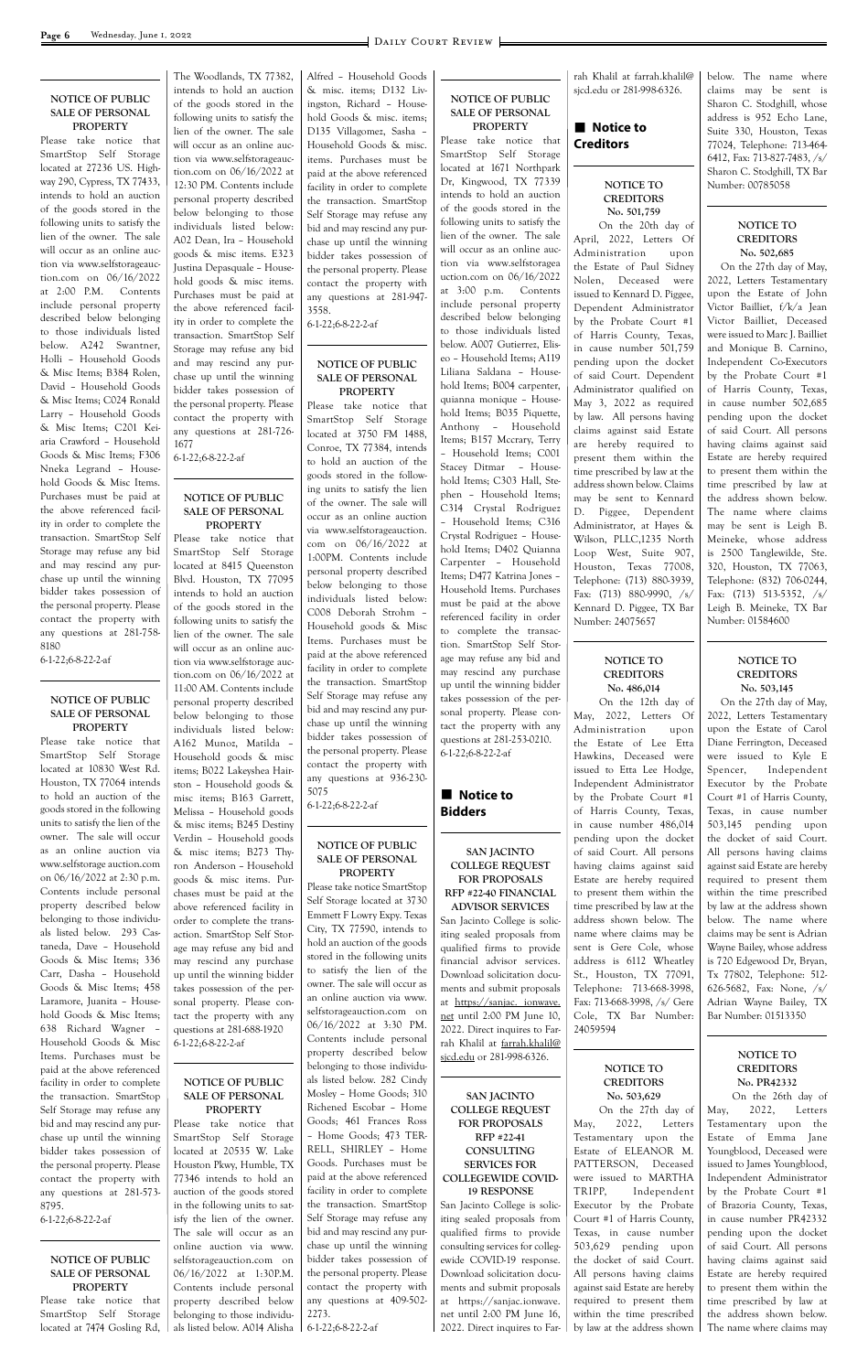#### **NOTICE OF PUBLIC SALE OF PERSONAL PROPERTY**

Please take notice that SmartStop Self Storage located at 27236 US. Highway 290, Cypress, TX 77433, intends to hold an auction of the goods stored in the following units to satisfy the lien of the owner. The sale will occur as an online auction via www.selfstorageauction.com on 06/16/2022 at 2:00 P.M. Contents include personal property described below belonging to those individuals listed below. A242 Swantner, Holli – Household Goods & Misc Items; B384 Rolen, David – Household Goods & Misc Items; C024 Ronald Larry – Household Goods & Misc Items; C201 Keiaria Crawford – Household Goods & Misc Items; F306 Nneka Legrand – Household Goods & Misc Items. Purchases must be paid at the above referenced facility in order to complete the transaction. SmartStop Self Storage may refuse any bid and may rescind any purchase up until the winning bidder takes possession of the personal property. Please contact the property with any questions at 281-758- 8180

6-1-22;6-8-22-2-af

#### **NOTICE OF PUBLIC SALE OF PERSONAL PROPERTY**

Please take notice that SmartStop Self Storage located at 10830 West Rd. Houston, TX 77064 intends to hold an auction of the goods stored in the following units to satisfy the lien of the owner. The sale will occur as an online auction via www.selfstorage auction.com on 06/16/2022 at 2:30 p.m. Contents include personal property described below belonging to those individuals listed below. 293 Castaneda, Dave – Household Goods & Misc Items; 336 Carr, Dasha – Household Goods & Misc Items; 458 Laramore, Juanita – HouseThe Woodlands, TX 77382, intends to hold an auction of the goods stored in the following units to satisfy the lien of the owner. The sale will occur as an online auction via www.selfstorageauction.com on 06/16/2022 at 12:30 PM. Contents include personal property described below belonging to those individuals listed below: A02 Dean, Ira – Household goods & misc items. E323 Justina Depasquale – Household goods & misc items. Purchases must be paid at the above referenced facility in order to complete the transaction. SmartStop Self Storage may refuse any bid and may rescind any purchase up until the winning bidder takes possession of the personal property. Please contact the property with any questions at 281-726- 1677

6-1-22;6-8-22-2-af

#### **NOTICE OF PUBLIC SALE OF PERSONAL PROPERTY**

Please take notice that SmartStop Self Storage located at 8415 Queenston Blvd. Houston, TX 77095 intends to hold an auction of the goods stored in the following units to satisfy the lien of the owner. The sale will occur as an online auction via www.selfstorage auction.com on 06/16/2022 at 11:00 AM. Contents include personal property described below belonging to those individuals listed below: A162 Munoz, Matilda – Household goods & misc items; B022 Lakeyshea Hairston – Household goods & misc items; B163 Garrett, Melissa – Household goods & misc items; B245 Destiny Verdin – Household goods & misc items; B273 Thyron Anderson – Household goods & misc items. Purchases must be paid at the above referenced facility in order to complete the transaction. SmartStop Self Storage may refuse any bid and may rescind any purchase up until the winning bidder takes possession of the personal property. Please con-

### **n** Notice to **Bidders**

#### **Notice to Creditors**

Alfred – Household Goods & misc. items; D132 Livingston, Richard – Household Goods & misc. items; D135 Villagomez, Sasha – Household Goods & misc. items. Purchases must be paid at the above referenced facility in order to complete the transaction. SmartStop Self Storage may refuse any bid and may rescind any purchase up until the winning bidder takes possession of the personal property. Please contact the property with any questions at 281-947- 3558.

6-1-22;6-8-22-2-af

#### **NOTICE OF PUBLIC SALE OF PERSONAL PROPERTY**

Please take notice that SmartStop Self Storage located at 3750 FM 1488, Conroe, TX 77384, intends to hold an auction of the goods stored in the following units to satisfy the lien of the owner. The sale will occur as an online auction via www.selfstorageauction. com on 06/16/2022 at 1:00PM. Contents include personal property described below belonging to those individuals listed below: C008 Deborah Strohm – Household goods & Misc Items. Purchases must be paid at the above referenced facility in order to complete the transaction. SmartStop Self Storage may refuse any bid and may rescind any purchase up until the winning bidder takes possession of the personal property. Please contact the property with any questions at 936-230- 5075

6-1-22;6-8-22-2-af

#### **NOTICE OF PUBLIC SALE OF PERSONAL PROPERTY**

Please take notice SmartStop Self Storage located at 3730 Emmett F Lowry Expy. Texas City, TX 77590, intends to hold an auction of the goods stored in the following units to satisfy the lien of the owner. The sale will occur as an online auction via www.

#### **NOTICE OF PUBLIC SALE OF PERSONAL PROPERTY**

| hold Goods & Misc Items:      | tact the property with any     | selfstorageauction.com on     | net until 2:00 PM June 10,      | Cole, TX Bar Number:           | Bar Number: 01513350        |
|-------------------------------|--------------------------------|-------------------------------|---------------------------------|--------------------------------|-----------------------------|
| 638 Richard Wagner -          | questions at 281-688-1920      | $06/16/2022$ at 3:30 PM.      | 2022. Direct inquires to Far-   | 24059594                       |                             |
| Household Goods & Misc        | $6-1-22; 6-8-22-2-af$          | Contents include personal     | rah Khalil at farrah.khalil@    |                                |                             |
| Items. Purchases must be      |                                | property described below      | sicd.edu or 281-998-6326.       |                                | NOTICE TO                   |
| paid at the above referenced  |                                | belonging to those individu-  |                                 | <b>NOTICE TO</b>               | <b>CREDITORS</b>            |
| facility in order to complete | <b>NOTICE OF PUBLIC</b>        | als listed below. 282 Cindy   |                                 | <b>CREDITORS</b>               | No. PR42332                 |
| the transaction. SmartStop    | <b>SALE OF PERSONAL</b>        | Mosley - Home Goods; 310      | <b>SAN JACINTO</b>              | No. 503,629                    | On the 26th day of          |
| Self Storage may refuse any   | <b>PROPERTY</b>                | Richened Escobar - Home       | <b>COLLEGE REQUEST</b>          | On the 27th day of             | 2022,<br>May,<br>Letters    |
| bid and may rescind any pur-  | Please take notice that        | Goods; 461 Frances Ross       | <b>FOR PROPOSALS</b>            | 2022,<br>Letters<br>May,       | Testamentary upon the       |
| chase up until the winning    | SmartStop Self Storage         | - Home Goods; 473 TER-        | RFP #22-41                      | Testamentary upon the          | Estate of<br>Emma Jane      |
| bidder takes possession of    | located at 20535 W. Lake       | RELL, SHIRLEY - Home          | <b>CONSULTING</b>               | Estate of ELEANOR M.           | Youngblood, Deceased were   |
| the personal property. Please | Houston Pkwy, Humble, TX       | Goods. Purchases must be      | <b>SERVICES FOR</b>             | PATTERSON, Deceased            | issued to James Youngblood, |
| contact the property with     | 77346 intends to hold an       | paid at the above referenced  | COLLEGEWIDE COVID-              | were issued to MARTHA          | Independent Administrator   |
| any questions at 281-573-     | auction of the goods stored    | facility in order to complete | <b>19 RESPONSE</b>              | TRIPP,<br>Independent          | by the Probate Court #1     |
| 8795.                         | in the following units to sat- | the transaction. SmartStop    | San Jacinto College is solic-   | Executor by the Probate        | of Brazoria County, Texas,  |
| $6-1-22; 6-8-22-2-af$         | isfy the lien of the owner.    | Self Storage may refuse any   | iting sealed proposals from     | Court #1 of Harris County,     | in cause number PR42332     |
|                               | The sale will occur as an      | bid and may rescind any pur-  | qualified firms to provide      | Texas, in cause number         | pending upon the docket     |
|                               | online auction via www.        | chase up until the winning    | consulting services for colleg- | 503,629 pending upon           | of said Court. All persons  |
| <b>NOTICE OF PUBLIC</b>       | selfstorageauction.com on      | bidder takes possession of    | ewide COVID-19 response.        | the docket of said Court.      | having claims against said  |
| <b>SALE OF PERSONAL</b>       | $06/16/2022$ at 1:30P.M.       | the personal property. Please | Download solicitation docu-     | All persons having claims      | Estate are hereby required  |
| <b>PROPERTY</b>               | Contents include personal      | contact the property with     | ments and submit proposals      | against said Estate are hereby | to present them within the  |
| Please take notice that       | property described below       | any questions at 409-502-     | at https://sanjac.ionwave.      | required to present them       | time prescribed by law at   |
| SmartStop Self Storage        | belonging to those individu-   | 2273.                         | net until 2:00 PM June 16,      | within the time prescribed     | the address shown below.    |
| located at 7474 Gosling Rd,   | als listed below. A014 Alisha  | $6-1-22; 6-8-22-2-af$         | 2022. Direct inquires to Far-   | by law at the address shown    | The name where claims may   |
|                               |                                |                               |                                 |                                |                             |
|                               |                                |                               |                                 |                                |                             |

Please take notice that SmartStop Self Storage located at 1671 Northpark Dr, Kingwood, TX 77339 intends to hold an auction of the goods stored in the following units to satisfy the lien of the owner. The sale will occur as an online auction via www.selfstoragea uction.com on 06/16/2022 at 3:00 p.m. Contents include personal property described below belonging to those individuals listed below. A007 Gutierrez, Eliseo – Household Items; A119 Liliana Saldana – Household Items; B004 carpenter, quianna monique – Household Items; B035 Piquette, Anthony – Household Items; B157 Mccrary, Terry – Household Items; C001 Stacey Ditmar – Household Items; C303 Hall, Stephen – Household Items; C314 Crystal Rodriguez – Household Items; C316 Crystal Rodriguez – Household Items; D402 Quianna Carpenter – Household Items; D477 Katrina Jones – Household Items. Purchases must be paid at the above referenced facility in order to complete the transaction. SmartStop Self Storage may refuse any bid and may rescind any purchase up until the winning bidder takes possession of the personal property. Please contact the property with any questions at 281-253-0210. 6-1-22;6-8-22-2-af

#### **SAN JACINTO COLLEGE REQUEST FOR PROPOSALS RFP #22-40 FINANCIAL ADVISOR SERVICES**

San Jacinto College is soliciting sealed proposals from qualified firms to provide financial advisor services. Download solicitation documents and submit proposals at https://sanjac. ionwave.

rah Khalil at farrah.khalil@ sjcd.edu or 281-998-6326.

#### **NOTICE TO CREDITORS No. 501,759**

 On the 20th day of April, 2022, Letters Of Administration upon the Estate of Paul Sidney Nolen, Deceased were issued to Kennard D. Piggee, Dependent Administrator by the Probate Court #1 of Harris County, Texas, in cause number 501,759 pending upon the docket of said Court. Dependent Administrator qualified on May 3, 2022 as required by law. All persons having claims against said Estate are hereby required to present them within the time prescribed by law at the address shown below. Claims may be sent to Kennard D. Piggee, Dependent Administrator, at Hayes & Wilson, PLLC,1235 North Loop West, Suite 907, Houston, Texas 77008, Telephone: (713) 880-3939, Fax: (713) 880-9990, /s/ Kennard D. Piggee, TX Bar Number: 24075657

#### **NOTICE TO CREDITORS No. 486,014**

 On the 12th day of May, 2022, Letters Of Administration upon the Estate of Lee Etta Hawkins, Deceased were issued to Etta Lee Hodge, Independent Administrator by the Probate Court #1 of Harris County, Texas, in cause number 486,014 pending upon the docket of said Court. All persons having claims against said Estate are hereby required to present them within the time prescribed by law at the address shown below. The name where claims may be sent is Gere Cole, whose address is 6112 Wheatley St., Houston, TX 77091, Telephone: 713-668-3998, Fax: 713-668-3998, /s/ Gere below. The name where claims may be sent is Sharon C. Stodghill, whose address is 952 Echo Lane, Suite 330, Houston, Texas 77024, Telephone: 713-464- 6412, Fax: 713-827-7483, /s/ Sharon C. Stodghill, TX Bar Number: 00785058

#### **NOTICE TO CREDITORS No. 502,685**

 On the 27th day of May, 2022, Letters Testamentary upon the Estate of John Victor Bailliet, f/k/a Jean Victor Bailliet, Deceased were issued to Marc J. Bailliet and Monique B. Carnino, Independent Co-Executors by the Probate Court #1 of Harris County, Texas, in cause number 502,685 pending upon the docket of said Court. All persons having claims against said Estate are hereby required to present them within the time prescribed by law at the address shown below. The name where claims may be sent is Leigh B. Meineke, whose address is 2500 Tanglewilde, Ste. 320, Houston, TX 77063, Telephone: (832) 706-0244, Fax: (713) 513-5352, /s/ Leigh B. Meineke, TX Bar Number: 01584600

#### **NOTICE TO CREDITORS No. 503,145**

 On the 27th day of May, 2022, Letters Testamentary upon the Estate of Carol Diane Ferrington, Deceased were issued to Kyle E Spencer, Independent Executor by the Probate Court #1 of Harris County, Texas, in cause number 503,145 pending upon the docket of said Court. All persons having claims against said Estate are hereby required to present them within the time prescribed by law at the address shown below. The name where claims may be sent is Adrian Wayne Bailey, whose address is 720 Edgewood Dr, Bryan, Tx 77802, Telephone: 512- 626-5682, Fax: None, /s/ Adrian Wayne Bailey, TX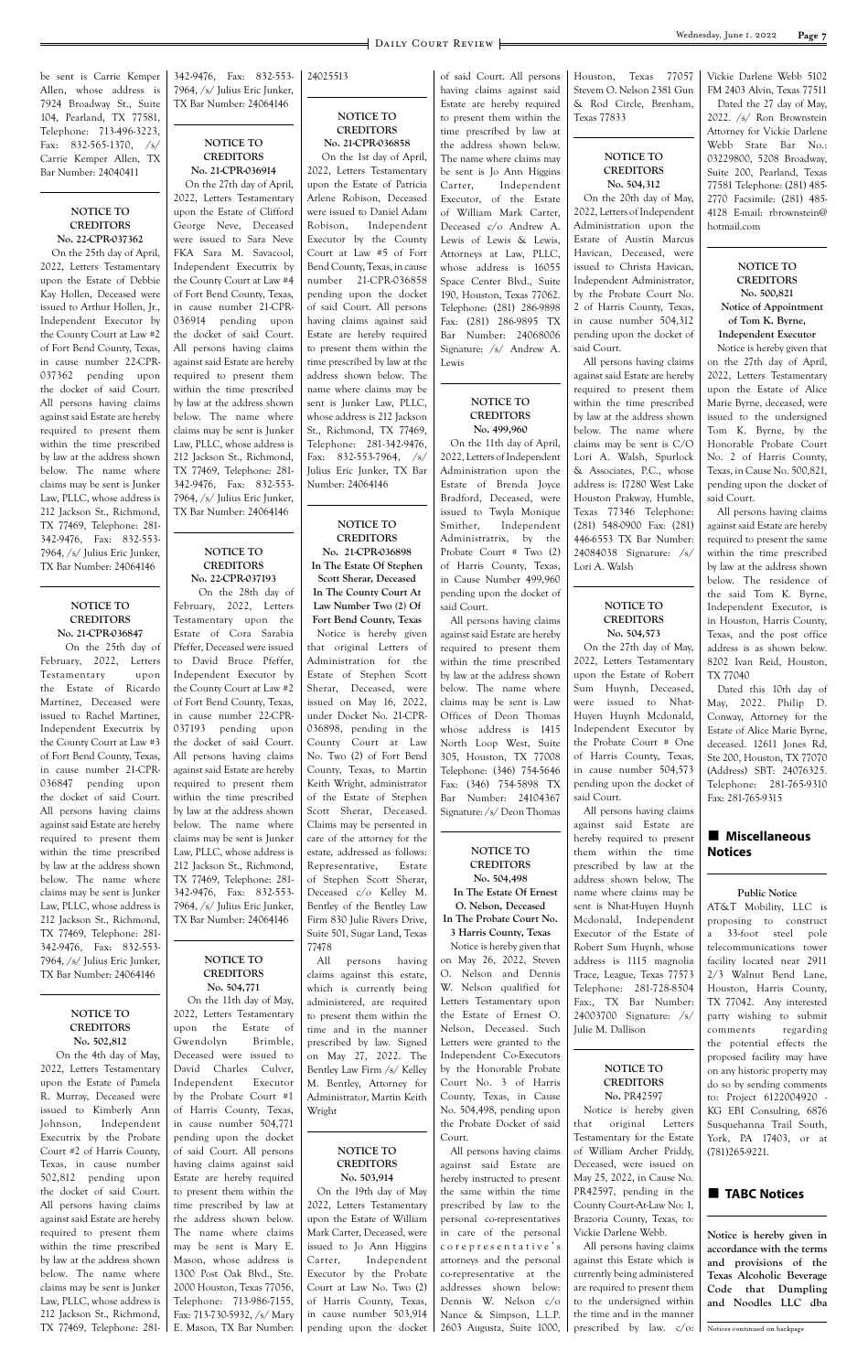be sent is Carrie Kemper Allen, whose address is 7924 Broadway St., Suite 104, Pearland, TX 77581, Telephone: 713-496-3223, Fax: 832-565-1370, /s/ Carrie Kemper Allen, TX Bar Number: 24040411

#### **NOTICE TO CREDITORS No. 22-CPR-037362**

 On the 25th day of April, 2022, Letters Testamentary upon the Estate of Debbie Kay Hollen, Deceased were issued to Arthur Hollen, Jr., Independent Executor by the County Court at Law #2 of Fort Bend County, Texas, in cause number 22-CPR-037362 pending upon the docket of said Court. All persons having claims against said Estate are hereby required to present them within the time prescribed by law at the address shown below. The name where claims may be sent is Junker Law, PLLC, whose address is 212 Jackson St., Richmond, TX 77469, Telephone: 281- 342-9476, Fax: 832-553- 7964, /s/ Julius Eric Junker, TX Bar Number: 24064146

#### **NOTICE TO CREDITORS No. 21-CPR-036847**

 On the 25th day of February, 2022, Letters Testamentary upon the Estate of Ricardo Martinez, Deceased were issued to Rachel Martinez, Independent Executrix by the County Court at Law #3 of Fort Bend County, Texas, in cause number 21-CPR-036847 pending upon the docket of said Court. All persons having claims against said Estate are hereby required to present them within the time prescribed by law at the address shown below. The name where claims may be sent is Junker Law, PLLC, whose address is 212 Jackson St., Richmond, TX 77469, Telephone: 281- 342-9476, Fax: 832-553- 7964, /s/ Julius Eric Junker, TX Bar Number: 24064146

342-9476, Fax: 832-553- 7964, /s/ Julius Eric Junker, TX Bar Number: 24064146

#### **NOTICE TO CREDITORS No. 21-CPR-036914**

 On the 27th day of April, 2022, Letters Testamentary upon the Estate of Clifford George Neve, Deceased were issued to Sara Neve FKA Sara M. Savacool, Independent Executrix by the County Court at Law #4 of Fort Bend County, Texas, in cause number 21-CPR-036914 pending upon the docket of said Court. All persons having claims against said Estate are hereby required to present them within the time prescribed by law at the address shown below. The name where claims may be sent is Junker Law, PLLC, whose address is 212 Jackson St., Richmond, TX 77469, Telephone: 281- 342-9476, Fax: 832-553- 7964, /s/ Julius Eric Junker, TX Bar Number: 24064146

#### **NOTICE TO CREDITORS No. 22-CPR-037193**

 On the 28th day of February, 2022, Letters Testamentary upon the Estate of Cora Sarabia Pfeffer, Deceased were issued to David Bruce Pfeffer, Independent Executor by the County Court at Law #2 of Fort Bend County, Texas, in cause number 22-CPR-037193 pending upon the docket of said Court. All persons having claims against said Estate are hereby required to present them within the time prescribed by law at the address shown below. The name where claims may be sent is Junker Law, PLLC, whose address is 212 Jackson St., Richmond, TX 77469, Telephone: 281- 342-9476, Fax: 832-553- 7964, /s/ Julius Eric Junker, TX Bar Number: 24064146

#### **NOTICE TO CREDITORS No. 504,771** On the 11th day of May,

24025513

#### **NOTICE TO CREDITORS No. 21-CPR-036858** On the 1st day of April,

2022, Letters Testamentary upon the Estate of Patricia Arlene Robison, Deceased were issued to Daniel Adam Robison, Independent Executor by the County Court at Law #5 of Fort Bend County, Texas, in cause number 21-CPR-036858 pending upon the docket of said Court. All persons having claims against said Estate are hereby required to present them within the time prescribed by law at the address shown below. The name where claims may be sent is Junker Law, PLLC, whose address is 212 Jackson St., Richmond, TX 77469, Telephone: 281-342-9476, Fax: 832-553-7964, /s/ Julius Eric Junker, TX Bar Number: 24064146

**NOTICE TO CREDITORS No. 21-CPR-036898 In The Estate Of Stephen Scott Sherar, Deceased In The County Court At Law Number Two (2) Of Fort Bend County, Texas** Notice is hereby given that original Letters of Administration for the Estate of Stephen Scott Sherar, Deceased, were issued on May 16, 2022, under Docket No. 21-CPR-036898, pending in the County Court at Law No. Two (2) of Fort Bend County, Texas, to Martin Keith Wright, administrator of the Estate of Stephen Scott Sherar, Deceased. Claims may be persented in care of the attorney for the estate, addressed as follows: Representative, Estate of Stephen Scott Sherar, Deceased c/o Kelley M. Bentley of the Bentley Law Firm 830 Julie Rivers Drive, Suite 501, Sugar Land, Texas 77478

All persons having claims against this estate, which is currently being administered, are required

#### **n** Miscellaneous **Notices**

of said Court. All persons having claims against said Estate are hereby required to present them within the time prescribed by law at the address shown below. The name where claims may be sent is Jo Ann Higgins Carter, Independent Executor, of the Estate of William Mark Carter, Deceased c/o Andrew A. Lewis of Lewis & Lewis, Attorneys at Law, PLLC, whose address is 16055 Space Center Blvd., Suite 190, Houston, Texas 77062. Telephone: (281) 286-9898 Fax: (281) 286-9895 TX Bar Number: 24068006 Signature: /s/ Andrew A. Lewis

#### **NOTICE TO CREDITORS No. 499,960**

| NOTICE TO                      | 2022, Letters Testamentary  | to present them within the  | the Estate of Ernest O.      | 24003700 Signature: /s/      | party wishing to submit       |
|--------------------------------|-----------------------------|-----------------------------|------------------------------|------------------------------|-------------------------------|
| <b>CREDITORS</b>               | the<br>Estate of<br>upon    | time and in the manner      | Nelson, Deceased. Such       | Julie M. Dallison            | regarding<br>comments         |
| No. 502,812                    | Gwendolyn<br>Brimble,       | prescribed by law. Signed   | Letters were granted to the  |                              | the potential effects the     |
| On the 4th day of May,         | Deceased were issued to     | on May 27, 2022. The        | Independent Co-Executors     |                              | proposed facility may have    |
| 2022, Letters Testamentary     | David Charles<br>Culver,    | Bentley Law Firm /s/ Kelley | by the Honorable Probate     | NOTICE TO                    | on any historic property may  |
| upon the Estate of Pamela      | Executor<br>Independent     | M. Bentley, Attorney for    | Court No. 3 of Harris        | <b>CREDITORS</b>             | do so by sending comments     |
| R. Murray, Deceased were       | by the Probate Court #1     | Administrator, Martin Keith | County, Texas, in Cause      | No. PR42597                  | to: Project 6122004920 -      |
| issued to Kimberly Ann         | of Harris County, Texas,    | Wright                      | No. 504,498, pending upon    | Notice is hereby given       | KG EBI Consulting, 6876       |
| Independent<br>Johnson,        | in cause number 504,771     |                             | the Probate Docket of said   | original<br>that<br>Letters  | Susquehanna Trail South,      |
| Executrix by the Probate       | pending upon the docket     |                             | Court.                       | Testamentary for the Estate  | York, PA 17403, or at         |
| Court #2 of Harris County,     | of said Court. All persons  | NOTICE TO                   | All persons having claims    | of William Archer Priddy,    | (781)265.9221.                |
| Texas, in cause number         | having claims against said  | <b>CREDITORS</b>            | against said Estate are      | Deceased, were issued on     |                               |
| 502,812 pending upon           | Estate are hereby required  | No. 503,914                 | hereby instructed to present | May 25, 2022, in Cause No.   |                               |
| the docket of said Court.      | to present them within the  | On the 19th day of May      | the same within the time     | PR42597, pending in the      | <b>TABC Notices</b>           |
| All persons having claims      | time prescribed by law at   | 2022, Letters Testamentary  | prescribed by law to the     | County Court-At-Law No: 1,   |                               |
| against said Estate are hereby | the address shown below.    | upon the Estate of William  | personal co-representatives  | Brazoria County, Texas, to:  |                               |
| required to present them       | The name where claims       | Mark Carter, Deceased, were | in care of the personal      | Vickie Darlene Webb.         | Notice is hereby given in     |
| within the time prescribed     | may be sent is Mary E.      | issued to Jo Ann Higgins    | corepresentative's           | All persons having claims    | accordance with the terms     |
| by law at the address shown    | Mason, whose address is     | Carter.<br>Independent      | attorneys and the personal   | against this Estate which is | and provisions of the         |
| below. The name where          | 1300 Post Oak Blvd., Ste.   | Executor by the Probate     | co-representative at the     | currently being administered | Texas Alcoholic Beverage      |
| claims may be sent is Junker   | 2000 Houston, Texas 77056,  | Court at Law No. Two (2)    | addresses shown below:       | are required to present them | Code that Dumpling            |
| Law, PLLC, whose address is    | Telephone: 713-986-7155,    | of Harris County, Texas,    | Dennis W. Nelson c/o         | to the undersigned within    | and Noodles LLC dba           |
| 212 Jackson St., Richmond,     | Fax: 713-730-5932, /s/ Mary | in cause number 503,914     | Nance & Simpson, L.L.P.      | the time and in the manner   |                               |
| TX 77469, Telephone: 281-      | E. Mason, TX Bar Number:    | pending upon the docket     | 2603 Augusta, Suite 1000,    | prescribed by law. $c/o$ :   | Notices continued on backpage |
|                                |                             |                             |                              |                              |                               |
|                                |                             |                             |                              |                              |                               |

On the 11th day of April, 2022, Letters of Independent Administration upon the Estate of Brenda Joyce Bradford, Deceased, were issued to Twyla Monique Smither, Independent Administratrix, by the Probate Court # Two (2) of Harris County, Texas, in Cause Number 499,960 pending upon the docket of said Court.

All persons having claims against said Estate are hereby required to present them within the time prescribed by law at the address shown below. The name where claims may be sent is Law Offices of Deon Thomas whose address is 1415 North Loop West, Suite 305, Houston, TX 77008 Telephone: (346) 754-5646 Fax: (346) 754-5898 TX Bar Number: 24104367 Signature: /s/ Deon Thomas

#### **NOTICE TO CREDITORS No. 504,498**

**In The Estate Of Ernest O. Nelson, Deceased In The Probate Court No.** 

**3 Harris County, Texas** Notice is hereby given that on May 26, 2022, Steven O. Nelson and Dennis W. Nelson qualified for Letters Testamentary upon Houston, Texas 77057 Stevem O. Nelson 2381 Gun & Rod Circle, Brenham, Texas 77833

#### **NOTICE TO CREDITORS No. 504,312**

On the 20th day of May, 2022, Letters of Independent Administration upon the Estate of Austin Marcus Havican, Deceased, were issued to Christa Havican, Independent Administrator, by the Probate Court No. 2 of Harris County, Texas, in cause number 504,312 pending upon the docket of said Court.

All persons having claims against said Estate are hereby required to present them within the time prescribed by law at the address shown below. The name where claims may be sent is C/O Lori A. Walsh, Spurlock & Associates, P.C., whose address is: 17280 West Lake Houston Prakway, Humble, Texas 77346 Telephone: (281) 548-0900 Fax: (281) 446-6553 TX Bar Number: 24084038 Signature: /s/ Lori A. Walsh

#### **NOTICE TO CREDITORS No. 504,573**

On the 27th day of May, 2022, Letters Testamentary upon the Estate of Robert Sum Huynh, Deceased, were issued to Nhat-Huyen Huynh Mcdonald, Independent Executor by the Probate Court # One of Harris County, Texas, in cause number 504,573 pending upon the docket of said Court.

All persons having claims against said Estate are hereby required to present them within the time prescribed by law at the address shown below, The name where claims may be sent is Nhat-Huyen Huynh Mcdonald, Independent Executor of the Estate of Robert Sum Huynh, whose address is 1115 magnolia Trace, League, Texas 77573 Telephone: 281-728-8504 Fax:, TX Bar Number:

Vickie Darlene Webb 5102 FM 2403 Alvin, Texas 77511

Dated the 27 day of May, 2022. /s/ Ron Brownstein Attorney for Vickie Darlene Webb State Bar No.: 03229800, 5208 Broadway, Suite 200, Pearland, Texas 77581 Telephone: (281) 485- 2770 Facsimile: (281) 485- 4128 E-mail: rbrownstein@ hotmail.com

> **NOTICE TO CREDITORS No. 500,821 Notice of Appointment of Tom K. Byrne, Independent Executor**

Notice is hereby given that on the 27th day of April, 2022, Letters Testamentary upon the Estate of Alice Marie Byrne, deceased, were issued to the undersigned Tom K. Byrne, by the Honorable Probate Court No. 2 of Harris County, Texas, in Cause No. 500,821, pending upon the docket of said Court.

All persons having claims against said Estate are hereby required to present the same within the time prescribed by law at the address shown below. The residence of the said Tom K. Byrne, Independent Executor, is in Houston, Harris County, Texas, and the post office address is as shown below. 8202 Ivan Reid, Houston, TX 77040

Dated this 10th day of May, 2022. Philip D. Conway, Attorney for the Estate of Alice Marie Byrne, deceased. 12611 Jones Rd, Ste 200, Houston, TX 77070 (Address) SBT: 24076325. Telephone: 281-765-9310 Fax: 281-765-9315

#### **Public Notice**

AT&T Mobility, LLC is proposing to construct a 33-foot steel pole telecommunications tower facility located near 2911 2/3 Walnut Bend Lane, Houston, Harris County, TX 77042. Any interested